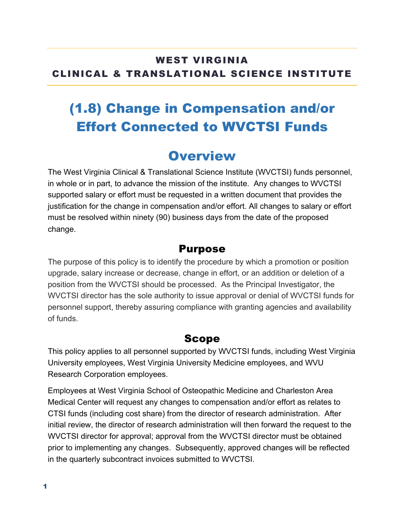#### WEST VIRGINIA CLINICAL & TRANSLATIONAL SCIENCE INSTITUTE

# (1.8) Change in Compensation and/or Effort Connected to WVCTSI Funds

### **Overview**

The West Virginia Clinical & Translational Science Institute (WVCTSI) funds personnel, in whole or in part, to advance the mission of the institute. Any changes to WVCTSI supported salary or effort must be requested in a written document that provides the justification for the change in compensation and/or effort. All changes to salary or effort must be resolved within ninety (90) business days from the date of the proposed change.

#### Purpose

The purpose of this policy is to identify the procedure by which a promotion or position upgrade, salary increase or decrease, change in effort, or an addition or deletion of a position from the WVCTSI should be processed. As the Principal Investigator, the WVCTSI director has the sole authority to issue approval or denial of WVCTSI funds for personnel support, thereby assuring compliance with granting agencies and availability of funds.

#### Scope

This policy applies to all personnel supported by WVCTSI funds, including West Virginia University employees, West Virginia University Medicine employees, and WVU Research Corporation employees.

Employees at West Virginia School of Osteopathic Medicine and Charleston Area Medical Center will request any changes to compensation and/or effort as relates to CTSI funds (including cost share) from the director of research administration. After initial review, the director of research administration will then forward the request to the WVCTSI director for approval; approval from the WVCTSI director must be obtained prior to implementing any changes. Subsequently, approved changes will be reflected in the quarterly subcontract invoices submitted to WVCTSI.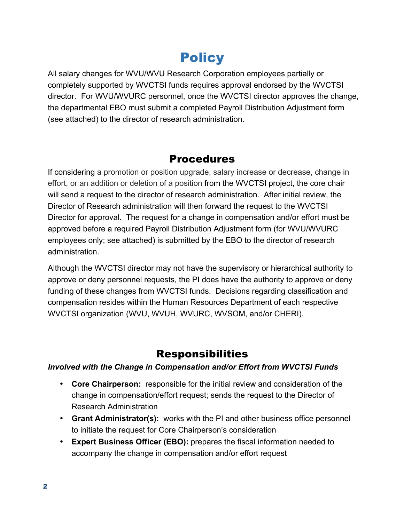## **Policy**

All salary changes for WVU/WVU Research Corporation employees partially or completely supported by WVCTSI funds requires approval endorsed by the WVCTSI director. For WVU/WVURC personnel, once the WVCTSI director approves the change, the departmental EBO must submit a completed Payroll Distribution Adjustment form (see attached) to the director of research administration.

#### Procedures

If considering a promotion or position upgrade, salary increase or decrease, change in effort, or an addition or deletion of a position from the WVCTSI project, the core chair will send a request to the director of research administration. After initial review, the Director of Research administration will then forward the request to the WVCTSI Director for approval. The request for a change in compensation and/or effort must be approved before a required Payroll Distribution Adjustment form (for WVU/WVURC employees only; see attached) is submitted by the EBO to the director of research administration.

Although the WVCTSI director may not have the supervisory or hierarchical authority to approve or deny personnel requests, the PI does have the authority to approve or deny funding of these changes from WVCTSI funds. Decisions regarding classification and compensation resides within the Human Resources Department of each respective WVCTSI organization (WVU, WVUH, WVURC, WVSOM, and/or CHERI).

#### Responsibilities

#### *Involved with the Change in Compensation and/or Effort from WVCTSI Funds*

- **Core Chairperson:** responsible for the initial review and consideration of the change in compensation/effort request; sends the request to the Director of Research Administration
- **Grant Administrator(s):** works with the PI and other business office personnel to initiate the request for Core Chairperson's consideration
- **Expert Business Officer (EBO):** prepares the fiscal information needed to accompany the change in compensation and/or effort request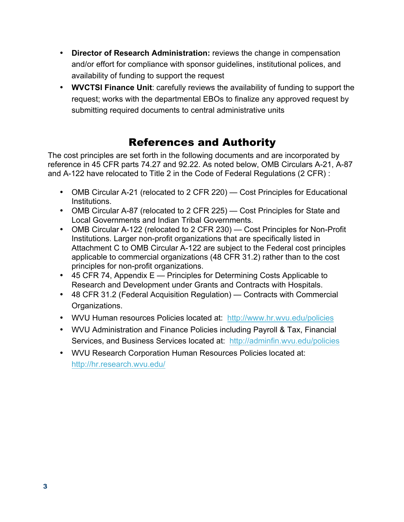- **Director of Research Administration:** reviews the change in compensation and/or effort for compliance with sponsor guidelines, institutional polices, and availability of funding to support the request
- **WVCTSI Finance Unit**: carefully reviews the availability of funding to support the request; works with the departmental EBOs to finalize any approved request by submitting required documents to central administrative units

### References and Authority

The cost principles are set forth in the following documents and are incorporated by reference in 45 CFR parts 74.27 and 92.22. As noted below, OMB Circulars A-21, A-87 and A-122 have relocated to Title 2 in the Code of Federal Regulations (2 CFR) :

- OMB Circular A-21 (relocated to 2 CFR 220) Cost Principles for Educational Institutions.
- OMB Circular A-87 (relocated to 2 CFR 225) Cost Principles for State and Local Governments and Indian Tribal Governments.
- OMB Circular A-122 (relocated to 2 CFR 230) Cost Principles for Non-Profit Institutions. Larger non-profit organizations that are specifically listed in Attachment C to OMB Circular A-122 are subject to the Federal cost principles applicable to commercial organizations (48 CFR 31.2) rather than to the cost principles for non-profit organizations.
- 45 CFR 74, Appendix E Principles for Determining Costs Applicable to Research and Development under Grants and Contracts with Hospitals.
- 48 CFR 31.2 (Federal Acquisition Regulation) Contracts with Commercial Organizations.
- WVU Human resources Policies located at: http://www.hr.wvu.edu/policies
- WVU Administration and Finance Policies including Payroll & Tax, Financial Services, and Business Services located at: http://adminfin.wvu.edu/policies
- WVU Research Corporation Human Resources Policies located at: http://hr.research.wvu.edu/